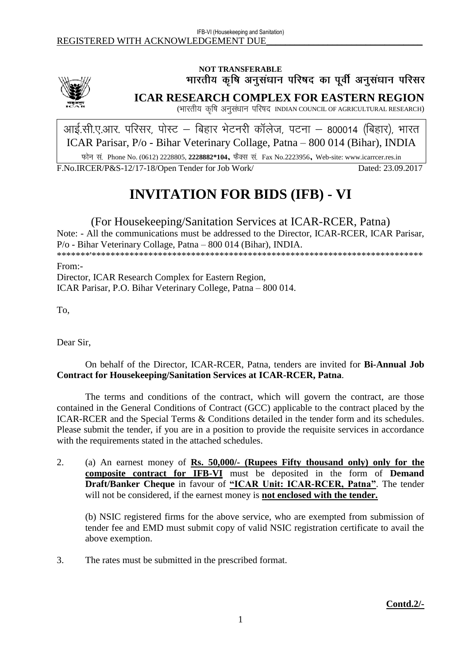

# NOT TRANSFERABLE<br>भारतीय कृषि अनुसंधान परिषद का पूर्वी अनुसंधान परिसर

**ICAR RESEARCH COMPLEX FOR EASTERN REGION**

(भारतीय कृषि अनुसंधान परिषद INDIAN COUNCIL OF AGRICULTURAL RESEARCH)

आई.सी.ए.आर. परिसर, पोस्ट – बिहार भेटनरी कॉलेज, पटना – 800014 (बिहार), भारत ICAR Parisar, P/o - Bihar Veterinary Collage, Patna – 800 014 (Bihar), INDIA

Phone No. (0612) 2228805, **2228882\*104**, Fax No.2223956, Web-site: www.icarrcer.res.in

F.No.IRCER/P&S-12/17-18/Open Tender for Job Work/ Dated: 23.09.2017

# **INVITATION FOR BIDS (IFB) - VI**

# (For Housekeeping/Sanitation Services at ICAR-RCER, Patna)

Note: - All the communications must be addressed to the Director, ICAR-RCER, ICAR Parisar, P/o - Bihar Veterinary Collage, Patna – 800 014 (Bihar), INDIA. \*\*\*\*\*\*\*'\*\*\*\*\*\*\*\*\*\*\*\*\*\*\*\*\*\*\*\*\*\*\*\*\*\*\*\*\*\*\*\*\*\*\*\*\*\*\*\*\*\*\*\*\*\*\*\*\*\*\*\*\*\*\*\*\*\*\*\*\*\*\*\*\*\*\*\*\*\*

From:-

Director, ICAR Research Complex for Eastern Region, ICAR Parisar, P.O. Bihar Veterinary College, Patna – 800 014.

To,

Dear Sir,

# On behalf of the Director, ICAR-RCER, Patna, tenders are invited for **Bi-Annual Job Contract for Housekeeping/Sanitation Services at ICAR-RCER, Patna**.

The terms and conditions of the contract, which will govern the contract, are those contained in the General Conditions of Contract (GCC) applicable to the contract placed by the ICAR-RCER and the Special Terms & Conditions detailed in the tender form and its schedules. Please submit the tender, if you are in a position to provide the requisite services in accordance with the requirements stated in the attached schedules.

2. (a) An earnest money of **Rs. 50,000/- (Rupees Fifty thousand only) only for the composite contract for IFB-VI** must be deposited in the form of **Demand Draft/Banker Cheque** in favour of **"ICAR Unit: ICAR-RCER, Patna"**. The tender will not be considered, if the earnest money is **not enclosed with the tender.**

(b) NSIC registered firms for the above service, who are exempted from submission of tender fee and EMD must submit copy of valid NSIC registration certificate to avail the above exemption.

3. The rates must be submitted in the prescribed format.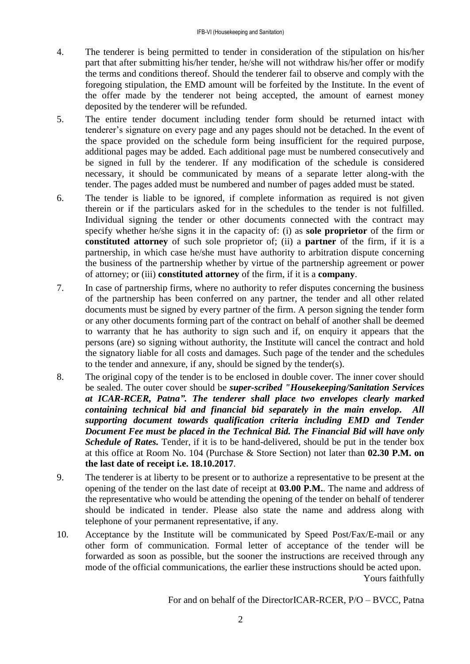- 4. The tenderer is being permitted to tender in consideration of the stipulation on his/her part that after submitting his/her tender, he/she will not withdraw his/her offer or modify the terms and conditions thereof. Should the tenderer fail to observe and comply with the foregoing stipulation, the EMD amount will be forfeited by the Institute. In the event of the offer made by the tenderer not being accepted, the amount of earnest money deposited by the tenderer will be refunded.
- 5. The entire tender document including tender form should be returned intact with tenderer's signature on every page and any pages should not be detached. In the event of the space provided on the schedule form being insufficient for the required purpose, additional pages may be added. Each additional page must be numbered consecutively and be signed in full by the tenderer. If any modification of the schedule is considered necessary, it should be communicated by means of a separate letter along-with the tender. The pages added must be numbered and number of pages added must be stated.
- 6. The tender is liable to be ignored, if complete information as required is not given therein or if the particulars asked for in the schedules to the tender is not fulfilled. Individual signing the tender or other documents connected with the contract may specify whether he/she signs it in the capacity of: (i) as **sole proprietor** of the firm or **constituted attorney** of such sole proprietor of; (ii) a **partner** of the firm, if it is a partnership, in which case he/she must have authority to arbitration dispute concerning the business of the partnership whether by virtue of the partnership agreement or power of attorney; or (iii) **constituted attorney** of the firm, if it is a **company**.
- 7. In case of partnership firms, where no authority to refer disputes concerning the business of the partnership has been conferred on any partner, the tender and all other related documents must be signed by every partner of the firm. A person signing the tender form or any other documents forming part of the contract on behalf of another shall be deemed to warranty that he has authority to sign such and if, on enquiry it appears that the persons (are) so signing without authority, the Institute will cancel the contract and hold the signatory liable for all costs and damages. Such page of the tender and the schedules to the tender and annexure, if any, should be signed by the tender(s).
- 8. The original copy of the tender is to be enclosed in double cover. The inner cover should be sealed. The outer cover should be *super-scribed "Housekeeping/Sanitation Services at ICAR-RCER, Patna". The tenderer shall place two envelopes clearly marked containing technical bid and financial bid separately in the main envelop. All supporting document towards qualification criteria including EMD and Tender Document Fee must be placed in the Technical Bid. The Financial Bid will have only Schedule of Rates.* Tender, if it is to be hand-delivered, should be put in the tender box at this office at Room No. 104 (Purchase & Store Section) not later than **02.30 P.M. on the last date of receipt i.e. 18.10.2017**.
- 9. The tenderer is at liberty to be present or to authorize a representative to be present at the opening of the tender on the last date of receipt at **03.00 P.M.**. The name and address of the representative who would be attending the opening of the tender on behalf of tenderer should be indicated in tender. Please also state the name and address along with telephone of your permanent representative, if any.
- 10. Acceptance by the Institute will be communicated by Speed Post/Fax/E-mail or any other form of communication. Formal letter of acceptance of the tender will be forwarded as soon as possible, but the sooner the instructions are received through any mode of the official communications, the earlier these instructions should be acted upon. Yours faithfully

For and on behalf of the DirectorICAR-RCER, P/O – BVCC, Patna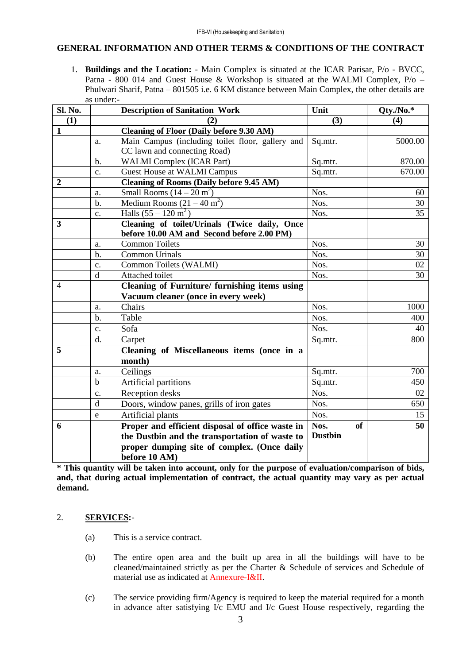#### **GENERAL INFORMATION AND OTHER TERMS & CONDITIONS OF THE CONTRACT**

1. **Buildings and the Location:** - Main Complex is situated at the ICAR Parisar, P/o - BVCC, Patna - 800 014 and Guest House & Workshop is situated at the WALMI Complex, P/o – Phulwari Sharif, Patna – 801505 i.e. 6 KM distance between Main Complex, the other details are as under:-

| Sl. No.        |                | <b>Description of Sanitation Work</b>            | Unit              | Qty./No.* |
|----------------|----------------|--------------------------------------------------|-------------------|-----------|
| (1)            |                | (2)                                              | (3)               | (4)       |
| 1              |                | <b>Cleaning of Floor (Daily before 9.30 AM)</b>  |                   |           |
|                | a.             | Main Campus (including toilet floor, gallery and | Sq.mtr.           | 5000.00   |
|                |                | CC lawn and connecting Road)                     |                   |           |
|                | $b$ .          | <b>WALMI</b> Complex (ICAR Part)                 | Sq.mtr.           | 870.00    |
|                | $C_{\bullet}$  | <b>Guest House at WALMI Campus</b>               | Sq.mtr.           | 670.00    |
| $\overline{2}$ |                | <b>Cleaning of Rooms (Daily before 9.45 AM)</b>  |                   |           |
|                | a.             | Small Rooms $(14 - 20 \text{ m}^2)$              | Nos.              | 60        |
|                | $b$ .          | Medium Rooms $(21 – 40 m2)$                      | Nos.              | 30        |
|                | c.             | Halls $(55 - 120 \text{ m}^2)$                   | Nos.              | 35        |
| 3              |                | Cleaning of toilet/Urinals (Twice daily, Once    |                   |           |
|                |                | before 10.00 AM and Second before 2.00 PM)       |                   |           |
|                | a.             | <b>Common Toilets</b>                            | Nos.              | 30        |
|                | $b$            | <b>Common Urinals</b>                            | Nos.              | 30        |
|                | $\mathbf{c}$ . | Common Toilets (WALMI)                           | Nos.              | 02        |
|                | $\mathbf d$    | Attached toilet                                  | Nos.              | 30        |
| 4              |                | Cleaning of Furniture/ furnishing items using    |                   |           |
|                |                | Vacuum cleaner (once in every week)              |                   |           |
|                | a.             | Chairs                                           | Nos.              | 1000      |
|                | $b$            | Table                                            | Nos.              | 400       |
|                | c.             | Sofa                                             | Nos.              | 40        |
|                | d.             | Carpet                                           | Sq.mtr.           | 800       |
| 5              |                | Cleaning of Miscellaneous items (once in a       |                   |           |
|                |                | month)                                           |                   |           |
|                | a.             | Ceilings                                         | Sq.mtr.           | 700       |
|                | $\mathbf b$    | Artificial partitions                            | Sq.mtr.           | 450       |
|                | c.             | Reception desks                                  | Nos.              | 02        |
|                | d              | Doors, window panes, grills of iron gates        | Nos.              | 650       |
|                | e              | Artificial plants                                | Nos.              | 15        |
| 6              |                | Proper and efficient disposal of office waste in | Nos.<br><b>of</b> | 50        |
|                |                | the Dustbin and the transportation of waste to   | <b>Dustbin</b>    |           |
|                |                | proper dumping site of complex. (Once daily      |                   |           |
|                |                | before 10 AM)                                    |                   |           |

**\* This quantity will be taken into account, only for the purpose of evaluation/comparison of bids, and, that during actual implementation of contract, the actual quantity may vary as per actual demand.**

## 2. **SERVICES:**-

- (a) This is a service contract.
- (b) The entire open area and the built up area in all the buildings will have to be cleaned/maintained strictly as per the Charter & Schedule of services and Schedule of material use as indicated at Annexure-I&II.
- (c) The service providing firm/Agency is required to keep the material required for a month in advance after satisfying I/c EMU and I/c Guest House respectively, regarding the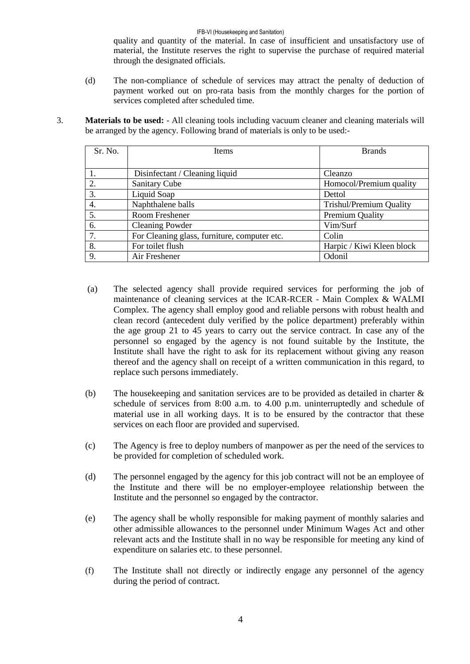#### IFB-VI (Housekeeping and Sanitation)

quality and quantity of the material. In case of insufficient and unsatisfactory use of material, the Institute reserves the right to supervise the purchase of required material through the designated officials.

- (d) The non-compliance of schedule of services may attract the penalty of deduction of payment worked out on pro-rata basis from the monthly charges for the portion of services completed after scheduled time.
- 3. **Materials to be used:**  All cleaning tools including vacuum cleaner and cleaning materials will be arranged by the agency. Following brand of materials is only to be used:-

| Sr. No. | Items                                        | <b>Brands</b>                  |
|---------|----------------------------------------------|--------------------------------|
|         |                                              |                                |
|         | Disinfectant / Cleaning liquid               | Cleanzo                        |
| 2.      | <b>Sanitary Cube</b>                         | Homocol/Premium quality        |
| 3.      | Liquid Soap                                  | Dettol                         |
| 4.      | Naphthalene balls                            | <b>Trishul/Premium Quality</b> |
| 5.      | Room Freshener                               | Premium Quality                |
| 6.      | <b>Cleaning Powder</b>                       | Vim/Surf                       |
| 7.      | For Cleaning glass, furniture, computer etc. | Colin                          |
| 8.      | For toilet flush                             | Harpic / Kiwi Kleen block      |
| 9.      | Air Freshener                                | Odonil                         |

- (a) The selected agency shall provide required services for performing the job of maintenance of cleaning services at the ICAR-RCER - Main Complex & WALMI Complex. The agency shall employ good and reliable persons with robust health and clean record (antecedent duly verified by the police department) preferably within the age group 21 to 45 years to carry out the service contract. In case any of the personnel so engaged by the agency is not found suitable by the Institute, the Institute shall have the right to ask for its replacement without giving any reason thereof and the agency shall on receipt of a written communication in this regard, to replace such persons immediately.
- (b) The housekeeping and sanitation services are to be provided as detailed in charter & schedule of services from 8:00 a.m. to 4.00 p.m. uninterruptedly and schedule of material use in all working days. It is to be ensured by the contractor that these services on each floor are provided and supervised.
- (c) The Agency is free to deploy numbers of manpower as per the need of the services to be provided for completion of scheduled work.
- (d) The personnel engaged by the agency for this job contract will not be an employee of the Institute and there will be no employer-employee relationship between the Institute and the personnel so engaged by the contractor.
- (e) The agency shall be wholly responsible for making payment of monthly salaries and other admissible allowances to the personnel under Minimum Wages Act and other relevant acts and the Institute shall in no way be responsible for meeting any kind of expenditure on salaries etc. to these personnel.
- (f) The Institute shall not directly or indirectly engage any personnel of the agency during the period of contract.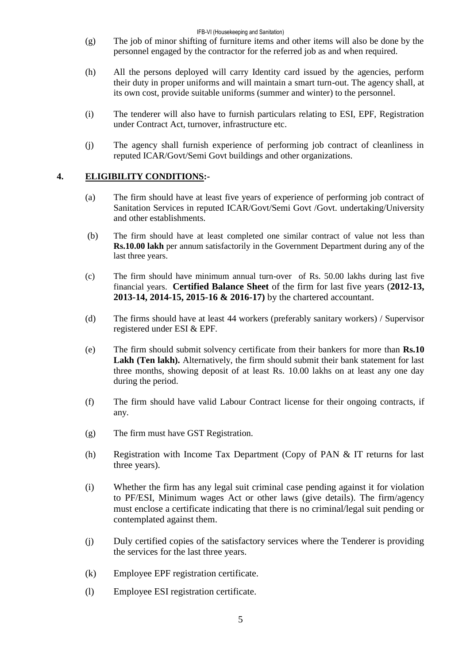#### IFB-VI (Housekeeping and Sanitation)

- (g) The job of minor shifting of furniture items and other items will also be done by the personnel engaged by the contractor for the referred job as and when required.
- (h) All the persons deployed will carry Identity card issued by the agencies, perform their duty in proper uniforms and will maintain a smart turn-out. The agency shall, at its own cost, provide suitable uniforms (summer and winter) to the personnel.
- (i) The tenderer will also have to furnish particulars relating to ESI, EPF, Registration under Contract Act, turnover, infrastructure etc.
- (j) The agency shall furnish experience of performing job contract of cleanliness in reputed ICAR/Govt/Semi Govt buildings and other organizations.

## **4. ELIGIBILITY CONDITIONS:-**

- (a) The firm should have at least five years of experience of performing job contract of Sanitation Services in reputed ICAR/Govt/Semi Govt /Govt. undertaking/University and other establishments.
- (b) The firm should have at least completed one similar contract of value not less than **Rs.10.00 lakh** per annum satisfactorily in the Government Department during any of the last three years.
- (c) The firm should have minimum annual turn-over of Rs. 50.00 lakhs during last five financial years. **Certified Balance Sheet** of the firm for last five years (**2012-13, 2013-14, 2014-15, 2015-16 & 2016-17)** by the chartered accountant.
- (d) The firms should have at least 44 workers (preferably sanitary workers) / Supervisor registered under ESI & EPF.
- (e) The firm should submit solvency certificate from their bankers for more than **Rs.10 Lakh (Ten lakh).** Alternatively, the firm should submit their bank statement for last three months, showing deposit of at least Rs. 10.00 lakhs on at least any one day during the period.
- (f) The firm should have valid Labour Contract license for their ongoing contracts, if any.
- (g) The firm must have GST Registration.
- (h) Registration with Income Tax Department (Copy of PAN & IT returns for last three years).
- (i) Whether the firm has any legal suit criminal case pending against it for violation to PF/ESI, Minimum wages Act or other laws (give details). The firm/agency must enclose a certificate indicating that there is no criminal/legal suit pending or contemplated against them.
- (j) Duly certified copies of the satisfactory services where the Tenderer is providing the services for the last three years.
- (k) Employee EPF registration certificate.
- (l) Employee ESI registration certificate.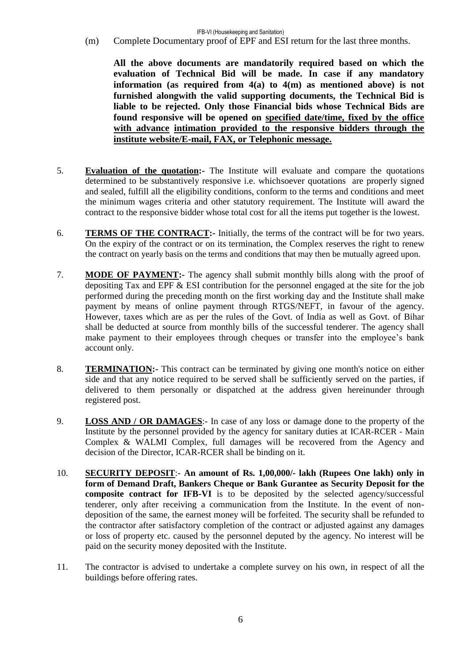(m) Complete Documentary proof of EPF and ESI return for the last three months.

**All the above documents are mandatorily required based on which the evaluation of Technical Bid will be made. In case if any mandatory information (as required from 4(a) to 4(m) as mentioned above) is not furnished alongwith the valid supporting documents, the Technical Bid is liable to be rejected. Only those Financial bids whose Technical Bids are found responsive will be opened on specified date/time, fixed by the office with advance intimation provided to the responsive bidders through the institute website/E-mail, FAX, or Telephonic message.**

- 5. **Evaluation of the quotation:-** The Institute will evaluate and compare the quotations determined to be substantively responsive i.e. whichsoever quotations are properly signed and sealed, fulfill all the eligibility conditions, conform to the terms and conditions and meet the minimum wages criteria and other statutory requirement. The Institute will award the contract to the responsive bidder whose total cost for all the items put together is the lowest.
- 6. **TERMS OF THE CONTRACT:-** Initially, the terms of the contract will be for two years. On the expiry of the contract or on its termination, the Complex reserves the right to renew the contract on yearly basis on the terms and conditions that may then be mutually agreed upon.
- 7. **MODE OF PAYMENT:-** The agency shall submit monthly bills along with the proof of depositing Tax and EPF & ESI contribution for the personnel engaged at the site for the job performed during the preceding month on the first working day and the Institute shall make payment by means of online payment through RTGS/NEFT, in favour of the agency. However, taxes which are as per the rules of the Govt. of India as well as Govt. of Bihar shall be deducted at source from monthly bills of the successful tenderer. The agency shall make payment to their employees through cheques or transfer into the employee's bank account only.
- 8. **TERMINATION:-** This contract can be terminated by giving one month's notice on either side and that any notice required to be served shall be sufficiently served on the parties, if delivered to them personally or dispatched at the address given hereinunder through registered post.
- 9. **LOSS AND / OR DAMAGES**:- In case of any loss or damage done to the property of the Institute by the personnel provided by the agency for sanitary duties at ICAR-RCER - Main Complex & WALMI Complex, full damages will be recovered from the Agency and decision of the Director, ICAR-RCER shall be binding on it.
- 10. **SECURITY DEPOSIT**:- **An amount of Rs. 1,00,000/- lakh (Rupees One lakh) only in form of Demand Draft, Bankers Cheque or Bank Gurantee as Security Deposit for the composite contract for IFB-VI** is to be deposited by the selected agency/successful tenderer, only after receiving a communication from the Institute. In the event of nondeposition of the same, the earnest money will be forfeited. The security shall be refunded to the contractor after satisfactory completion of the contract or adjusted against any damages or loss of property etc. caused by the personnel deputed by the agency. No interest will be paid on the security money deposited with the Institute.
- 11. The contractor is advised to undertake a complete survey on his own, in respect of all the buildings before offering rates.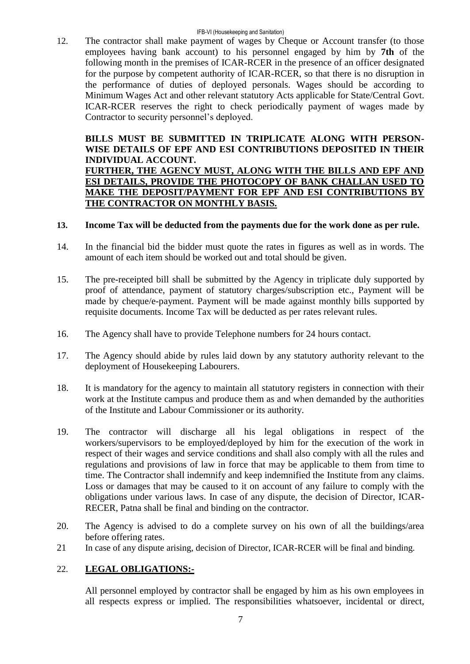12. The contractor shall make payment of wages by Cheque or Account transfer (to those employees having bank account) to his personnel engaged by him by **7th** of the following month in the premises of ICAR-RCER in the presence of an officer designated for the purpose by competent authority of ICAR-RCER, so that there is no disruption in the performance of duties of deployed personals. Wages should be according to Minimum Wages Act and other relevant statutory Acts applicable for State/Central Govt. ICAR-RCER reserves the right to check periodically payment of wages made by Contractor to security personnel's deployed.

#### **BILLS MUST BE SUBMITTED IN TRIPLICATE ALONG WITH PERSON-WISE DETAILS OF EPF AND ESI CONTRIBUTIONS DEPOSITED IN THEIR INDIVIDUAL ACCOUNT. FURTHER, THE AGENCY MUST, ALONG WITH THE BILLS AND EPF AND ESI DETAILS, PROVIDE THE PHOTOCOPY OF BANK CHALLAN USED TO MAKE THE DEPOSIT/PAYMENT FOR EPF AND ESI CONTRIBUTIONS BY THE CONTRACTOR ON MONTHLY BASIS.**

## **13. Income Tax will be deducted from the payments due for the work done as per rule.**

- 14. In the financial bid the bidder must quote the rates in figures as well as in words. The amount of each item should be worked out and total should be given.
- 15. The pre-receipted bill shall be submitted by the Agency in triplicate duly supported by proof of attendance, payment of statutory charges/subscription etc., Payment will be made by cheque/e-payment. Payment will be made against monthly bills supported by requisite documents. Income Tax will be deducted as per rates relevant rules.
- 16. The Agency shall have to provide Telephone numbers for 24 hours contact.
- 17. The Agency should abide by rules laid down by any statutory authority relevant to the deployment of Housekeeping Labourers.
- 18. It is mandatory for the agency to maintain all statutory registers in connection with their work at the Institute campus and produce them as and when demanded by the authorities of the Institute and Labour Commissioner or its authority.
- 19. The contractor will discharge all his legal obligations in respect of the workers/supervisors to be employed/deployed by him for the execution of the work in respect of their wages and service conditions and shall also comply with all the rules and regulations and provisions of law in force that may be applicable to them from time to time. The Contractor shall indemnify and keep indemnified the Institute from any claims. Loss or damages that may be caused to it on account of any failure to comply with the obligations under various laws. In case of any dispute, the decision of Director, ICAR-RECER, Patna shall be final and binding on the contractor.
- 20. The Agency is advised to do a complete survey on his own of all the buildings/area before offering rates.
- 21 In case of any dispute arising, decision of Director, ICAR-RCER will be final and binding.

#### 22. **LEGAL OBLIGATIONS:-**

All personnel employed by contractor shall be engaged by him as his own employees in all respects express or implied. The responsibilities whatsoever, incidental or direct,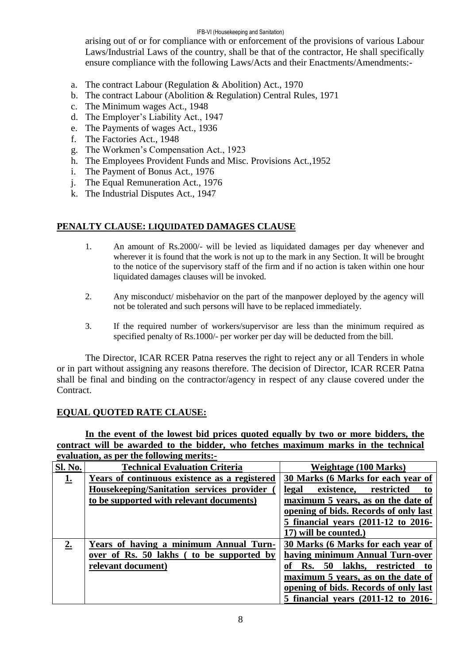#### IFB-VI (Housekeeping and Sanitation)

arising out of or for compliance with or enforcement of the provisions of various Labour Laws/Industrial Laws of the country, shall be that of the contractor, He shall specifically ensure compliance with the following Laws/Acts and their Enactments/Amendments:-

- a. The contract Labour (Regulation & Abolition) Act., 1970
- b. The contract Labour (Abolition & Regulation) Central Rules, 1971
- c. The Minimum wages Act., 1948
- d. The Employer's Liability Act., 1947
- e. The Payments of wages Act., 1936
- f. The Factories Act., 1948
- g. The Workmen's Compensation Act., 1923
- h. The Employees Provident Funds and Misc. Provisions Act.,1952
- i. The Payment of Bonus Act., 1976
- j. The Equal Remuneration Act., 1976
- k. The Industrial Disputes Act., 1947

## **PENALTY CLAUSE: LIQUIDATED DAMAGES CLAUSE**

- 1. An amount of Rs.2000/- will be levied as liquidated damages per day whenever and wherever it is found that the work is not up to the mark in any Section. It will be brought to the notice of the supervisory staff of the firm and if no action is taken within one hour liquidated damages clauses will be invoked.
- 2. Any misconduct/ misbehavior on the part of the manpower deployed by the agency will not be tolerated and such persons will have to be replaced immediately.
- 3. If the required number of workers/supervisor are less than the minimum required as specified penalty of Rs.1000/- per worker per day will be deducted from the bill.

The Director, ICAR RCER Patna reserves the right to reject any or all Tenders in whole or in part without assigning any reasons therefore. The decision of Director, ICAR RCER Patna shall be final and binding on the contractor/agency in respect of any clause covered under the Contract.

# **EQUAL QUOTED RATE CLAUSE:**

**In the event of the lowest bid prices quoted equally by two or more bidders, the contract will be awarded to the bidder, who fetches maximum marks in the technical evaluation, as per the following merits:-**

| <b>Sl. No.</b> | <b>Technical Evaluation Criteria</b>          | Weightage (100 Marks)                          |
|----------------|-----------------------------------------------|------------------------------------------------|
| <u>1.</u>      | Years of continuous existence as a registered | 30 Marks (6 Marks for each year of             |
|                | Housekeeping/Sanitation services provider     | existence, restricted<br>legal<br>to           |
|                | to be supported with relevant documents)      | maximum 5 years, as on the date of             |
|                |                                               | opening of bids. Records of only last          |
|                |                                               | 5 financial years (2011-12 to 2016-            |
|                |                                               | 17) will be counted.)                          |
| 2.             | Years of having a minimum Annual Turn-        | 30 Marks (6 Marks for each year of             |
|                | over of Rs. 50 lakhs (to be supported by      | having minimum Annual Turn-over                |
|                | relevant document)                            | <b>Rs.</b> 50<br>lakhs, restricted<br>to<br>оf |
|                |                                               | maximum 5 years, as on the date of             |
|                |                                               | opening of bids. Records of only last          |
|                |                                               | 5 financial years (2011-12 to 2016-            |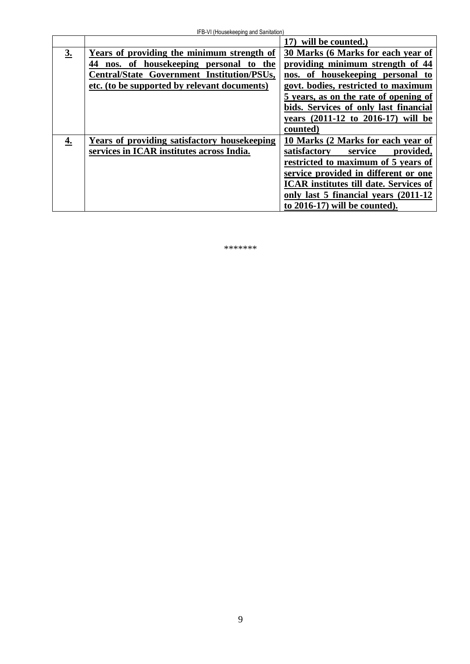|                   |                                               | 17) will be counted.)                         |
|-------------------|-----------------------------------------------|-----------------------------------------------|
| $\underline{3}$ . | Years of providing the minimum strength of    | 30 Marks (6 Marks for each year of            |
|                   | nos. of housekeeping personal<br>44<br>to the | providing minimum strength of 44              |
|                   | Central/State Government Institution/PSUs,    | nos. of housekeeping personal to              |
|                   | etc. (to be supported by relevant documents)  | govt. bodies, restricted to maximum           |
|                   |                                               | 5 years, as on the rate of opening of         |
|                   |                                               | bids. Services of only last financial         |
|                   |                                               | years (2011-12 to 2016-17) will be            |
|                   |                                               | counted)                                      |
| 4.                | Years of providing satisfactory housekeeping  | 10 Marks (2 Marks for each year of            |
|                   | services in ICAR institutes across India.     | satisfactory<br>service<br>provided,          |
|                   |                                               | restricted to maximum of 5 years of           |
|                   |                                               | service provided in different or one          |
|                   |                                               | <b>ICAR</b> institutes till date. Services of |
|                   |                                               | only last 5 financial years (2011-12)         |
|                   |                                               | to 2016-17) will be counted).                 |

\*\*\*\*\*\*\*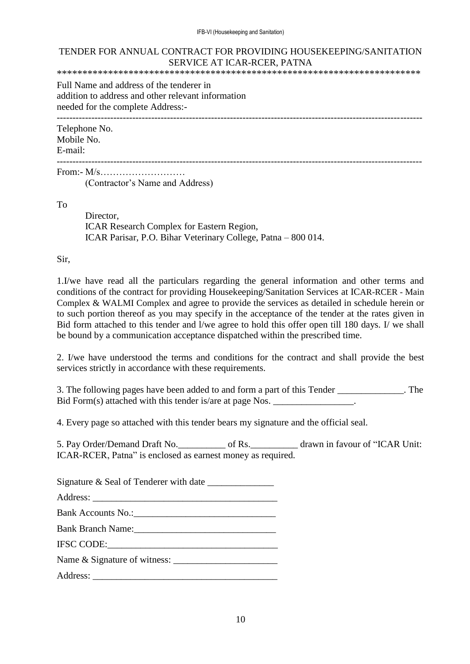#### TENDER FOR ANNUAL CONTRACT FOR PROVIDING HOUSEKEEPING/SANITATION SERVICE AT ICAR-RCER, PATNA

\*\*\*\*\*\*\*\*\*\*\*\*\*\*\*\*\*\*\*\*\*\*\*\*\*\*\*\*\*\*\*\*\*\*\*\*\*\*\*\*\*\*\*\*\*\*\*\*\*\*\*\*\*\*\*\*\*\*\*\*\*\*\*\*\*\*\*\*\*\*\*

Full Name and address of the tenderer in addition to address and other relevant information needed for the complete Address:-

--------------------------------------------------------------------------------------------------------------------

Telephone No. Mobile No.

E-mail: --------------------------------------------------------------------------------------------------------------------

From:-  $M/s$ (Contractor's Name and Address)

To

Director, ICAR Research Complex for Eastern Region, ICAR Parisar, P.O. Bihar Veterinary College, Patna – 800 014.

Sir,

1.I/we have read all the particulars regarding the general information and other terms and conditions of the contract for providing Housekeeping/Sanitation Services at ICAR-RCER - Main Complex & WALMI Complex and agree to provide the services as detailed in schedule herein or to such portion thereof as you may specify in the acceptance of the tender at the rates given in Bid form attached to this tender and l/we agree to hold this offer open till 180 days. I/ we shall be bound by a communication acceptance dispatched within the prescribed time.

2. I/we have understood the terms and conditions for the contract and shall provide the best services strictly in accordance with these requirements.

3. The following pages have been added to and form a part of this Tender \_\_\_\_\_\_\_\_\_\_\_\_\_\_. The Bid Form(s) attached with this tender is/are at page Nos. \_\_\_\_\_\_\_\_\_\_\_\_\_\_\_\_.

4. Every page so attached with this tender bears my signature and the official seal.

5. Pay Order/Demand Draft No.  $\qquad \qquad$  of Rs.  $\qquad \qquad$  drawn in favour of "ICAR Unit: ICAR-RCER, Patna" is enclosed as earnest money as required.

Signature  $\&$  Seal of Tenderer with date

Address:

Bank Accounts No.:

Bank Branch Name:

IFSC CODE:\_\_\_\_\_\_\_\_\_\_\_\_\_\_\_\_\_\_\_\_\_\_\_\_\_\_\_\_\_\_\_\_\_\_\_\_

Name & Signature of witness: \_\_\_\_\_\_\_\_\_\_\_\_\_\_\_\_\_\_\_\_\_\_

Address: \_\_\_\_\_\_\_\_\_\_\_\_\_\_\_\_\_\_\_\_\_\_\_\_\_\_\_\_\_\_\_\_\_\_\_\_\_\_\_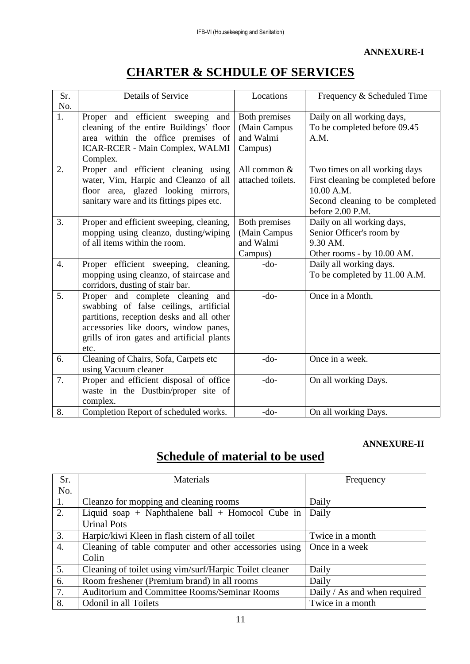# **CHARTER & SCHDULE OF SERVICES**

| Sr.              | <b>Details of Service</b>                  | Locations         |                                    |
|------------------|--------------------------------------------|-------------------|------------------------------------|
|                  |                                            |                   | Frequency & Scheduled Time         |
| No.              |                                            |                   |                                    |
| 1.               | Proper and efficient sweeping and          | Both premises     | Daily on all working days,         |
|                  | cleaning of the entire Buildings' floor    | (Main Campus      | To be completed before 09.45       |
|                  | area within the office premises of         | and Walmi         | A.M.                               |
|                  | ICAR-RCER - Main Complex, WALMI            | Campus)           |                                    |
|                  | Complex.                                   |                   |                                    |
| 2.               | Proper and efficient cleaning using        | All common &      | Two times on all working days      |
|                  | water, Vim, Harpic and Cleanzo of all      | attached toilets. | First cleaning be completed before |
|                  | floor area, glazed looking mirrors,        |                   | 10.00 A.M.                         |
|                  | sanitary ware and its fittings pipes etc.  |                   | Second cleaning to be completed    |
|                  |                                            |                   | before 2.00 P.M.                   |
| 3.               | Proper and efficient sweeping, cleaning,   | Both premises     | Daily on all working days,         |
|                  | mopping using cleanzo, dusting/wiping      | (Main Campus      | Senior Officer's room by           |
|                  | of all items within the room.              | and Walmi         | 9.30 AM.                           |
|                  |                                            | Campus)           | Other rooms - by 10.00 AM.         |
| $\overline{4}$ . | Proper efficient sweeping, cleaning,       | $-do-$            | Daily all working days.            |
|                  | mopping using cleanzo, of staircase and    |                   | To be completed by 11.00 A.M.      |
|                  | corridors, dusting of stair bar.           |                   |                                    |
| 5.               | Proper and complete cleaning and           | $-do-$            | Once in a Month.                   |
|                  | swabbing of false ceilings, artificial     |                   |                                    |
|                  | partitions, reception desks and all other  |                   |                                    |
|                  | accessories like doors, window panes,      |                   |                                    |
|                  | grills of iron gates and artificial plants |                   |                                    |
|                  | etc.                                       |                   |                                    |
| 6.               | Cleaning of Chairs, Sofa, Carpets etc      | $-do-$            | Once in a week.                    |
|                  | using Vacuum cleaner                       |                   |                                    |
| 7.               | Proper and efficient disposal of office    | $-do-$            | On all working Days.               |
|                  | waste in the Dustbin/proper site of        |                   |                                    |
|                  | complex.                                   |                   |                                    |
| 8.               | Completion Report of scheduled works.      | $-do-$            | On all working Days.               |

#### **ANNEXURE-II**

# **Schedule of material to be used**

| Sr. | Materials                                               | Frequency                    |
|-----|---------------------------------------------------------|------------------------------|
| No. |                                                         |                              |
| 1.  | Cleanzo for mopping and cleaning rooms                  | Daily                        |
| 2.  | Liquid soap + Naphthalene ball + Homocol Cube in        | Daily                        |
|     | <b>Urinal Pots</b>                                      |                              |
| 3.  | Harpic/kiwi Kleen in flash cistern of all toilet        | Twice in a month             |
| 4.  | Cleaning of table computer and other accessories using  | Once in a week               |
|     | Colin                                                   |                              |
| 5.  | Cleaning of toilet using vim/surf/Harpic Toilet cleaner | Daily                        |
| 6.  | Room freshener (Premium brand) in all rooms             | Daily                        |
| 7.  | Auditorium and Committee Rooms/Seminar Rooms            | Daily / As and when required |
| 8.  | Odonil in all Toilets                                   | Twice in a month             |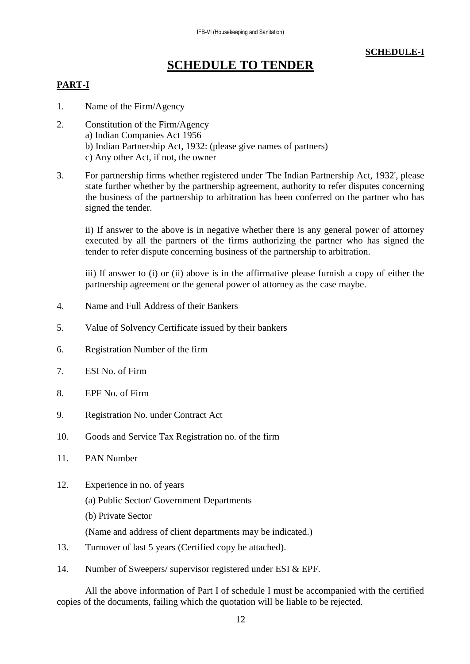# **SCHEDULE-I**

# **SCHEDULE TO TENDER**

# **PART-I**

- 1. Name of the Firm/Agency
- 2. Constitution of the Firm/Agency a) Indian Companies Act 1956 b) Indian Partnership Act, 1932: (please give names of partners) c) Any other Act, if not, the owner
- 3. For partnership firms whether registered under 'The Indian Partnership Act, 1932', please state further whether by the partnership agreement, authority to refer disputes concerning the business of the partnership to arbitration has been conferred on the partner who has signed the tender.

ii) If answer to the above is in negative whether there is any general power of attorney executed by all the partners of the firms authorizing the partner who has signed the tender to refer dispute concerning business of the partnership to arbitration.

iii) If answer to (i) or (ii) above is in the affirmative please furnish a copy of either the partnership agreement or the general power of attorney as the case maybe.

- 4. Name and Full Address of their Bankers
- 5. Value of Solvency Certificate issued by their bankers
- 6. Registration Number of the firm
- 7. ESI No. of Firm
- 8. EPF No. of Firm
- 9. Registration No. under Contract Act
- 10. Goods and Service Tax Registration no. of the firm
- 11. PAN Number
- 12. Experience in no. of years
	- (a) Public Sector/ Government Departments
	- (b) Private Sector

(Name and address of client departments may be indicated.)

- 13. Turnover of last 5 years (Certified copy be attached).
- 14. Number of Sweepers/ supervisor registered under ESI & EPF.

All the above information of Part I of schedule I must be accompanied with the certified copies of the documents, failing which the quotation will be liable to be rejected.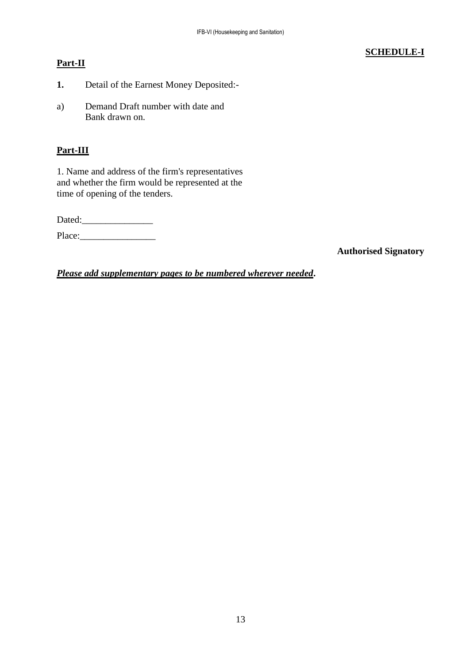# **Part-II**

# **SCHEDULE-I**

- **1.** Detail of the Earnest Money Deposited:-
- a) Demand Draft number with date and Bank drawn on.

# **Part-III**

1. Name and address of the firm's representatives and whether the firm would be represented at the time of opening of the tenders.

Dated:

Place:\_\_\_\_\_\_\_\_\_\_\_\_\_\_\_\_

**Authorised Signatory**

*Please add supplementary pages to be numbered wherever needed***.**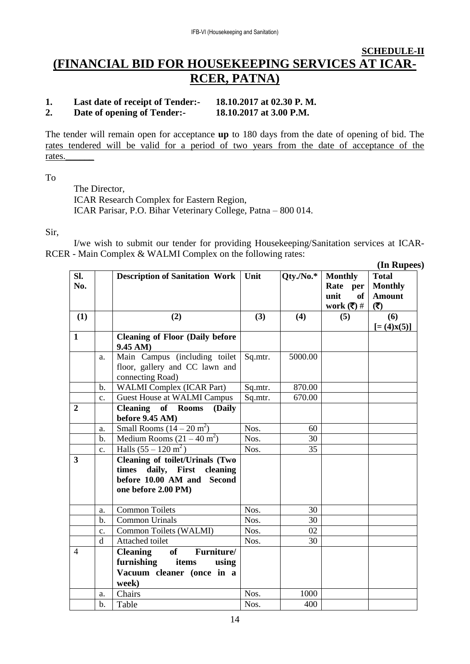# **SCHEDULE-II (FINANCIAL BID FOR HOUSEKEEPING SERVICES AT ICAR-RCER, PATNA)**

#### **1. Last date of receipt of Tender:- 18.10.2017 at 02.30 P. M. 2. Date of opening of Tender:- 18.10.2017 at 3.00 P.M.**

The tender will remain open for acceptance **up** to 180 days from the date of opening of bid. The rates tendered will be valid for a period of two years from the date of acceptance of the rates.\_\_\_\_\_\_

To

The Director, ICAR Research Complex for Eastern Region, ICAR Parisar, P.O. Bihar Veterinary College, Patna – 800 014.

Sir,

I/we wish to submit our tender for providing Housekeeping/Sanitation services at ICAR-RCER - Main Complex & WALMI Complex on the following rates:

|                         |                |                                                                                                                            |         |            |                                                                                    | (In Rupees)                                            |
|-------------------------|----------------|----------------------------------------------------------------------------------------------------------------------------|---------|------------|------------------------------------------------------------------------------------|--------------------------------------------------------|
| SI.<br>No.              |                | <b>Description of Sanitation Work</b>                                                                                      | Unit    | $Qty.No.*$ | <b>Monthly</b><br>Rate per<br>unit<br>of<br>work $(\overline{\overline{\zeta}})$ # | <b>Total</b><br><b>Monthly</b><br><b>Amount</b><br>(3) |
| (1)                     |                | (2)                                                                                                                        | (3)     | (4)        | (5)                                                                                | (6)                                                    |
| $\mathbf{1}$            |                | <b>Cleaning of Floor (Daily before</b><br>9.45 AM)                                                                         |         |            |                                                                                    | $[=(4)X(5)]$                                           |
|                         | a.             | Main Campus (including toilet<br>floor, gallery and CC lawn and<br>connecting Road)                                        | Sq.mtr. | 5000.00    |                                                                                    |                                                        |
|                         | b.             | <b>WALMI</b> Complex (ICAR Part)                                                                                           | Sq.mtr. | 870.00     |                                                                                    |                                                        |
|                         | $\mathbf{c}$ . | <b>Guest House at WALMI Campus</b>                                                                                         | Sq.mtr. | 670.00     |                                                                                    |                                                        |
| $\boldsymbol{2}$        |                | <b>Cleaning of Rooms</b><br>(Daily<br>before 9.45 AM)                                                                      |         |            |                                                                                    |                                                        |
|                         | a.             | Small Rooms $(14-20 \text{ m}^2)$                                                                                          | Nos.    | 60         |                                                                                    |                                                        |
|                         | $\mathbf b$ .  | Medium Rooms $(21 – 40 m2)$                                                                                                | Nos.    | 30         |                                                                                    |                                                        |
|                         | $C_{\bullet}$  | Halls $(55 - 120 \text{ m}^2)$                                                                                             | Nos.    | 35         |                                                                                    |                                                        |
| $\overline{\mathbf{3}}$ |                | <b>Cleaning of toilet/Urinals (Two</b><br>times daily, First cleaning<br>before 10.00 AM and Second<br>one before 2.00 PM) |         |            |                                                                                    |                                                        |
|                         | a.             | <b>Common Toilets</b>                                                                                                      | Nos.    | 30         |                                                                                    |                                                        |
|                         | $b$            | <b>Common Urinals</b>                                                                                                      | Nos.    | 30         |                                                                                    |                                                        |
|                         | c.             | Common Toilets (WALMI)                                                                                                     | Nos.    | 02         |                                                                                    |                                                        |
|                         | d              | Attached toilet                                                                                                            | Nos.    | 30         |                                                                                    |                                                        |
| $\overline{4}$          |                | <b>Cleaning</b><br>of<br>Furniture/<br>furnishing<br>items<br>using<br>Vacuum cleaner (once in a<br>week)                  |         |            |                                                                                    |                                                        |
|                         | a.             | Chairs                                                                                                                     | Nos.    | 1000       |                                                                                    |                                                        |
|                         | $\mathbf b$ .  | Table                                                                                                                      | Nos.    | 400        |                                                                                    |                                                        |

14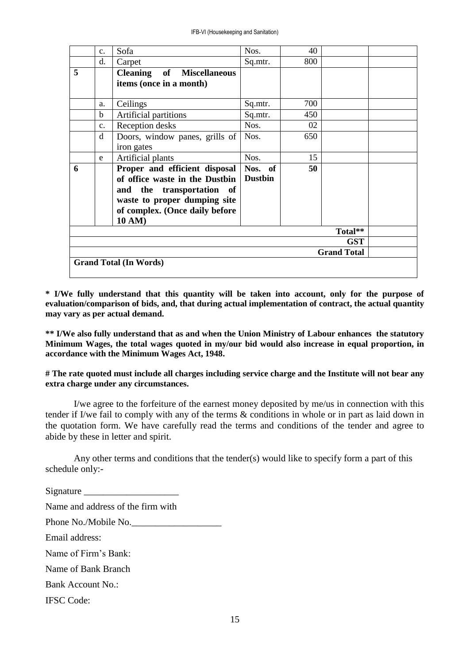|   | $C_{\bullet}$                    | Sofa                                                                                                                                                                     | Nos.                      | 40  |         |  |
|---|----------------------------------|--------------------------------------------------------------------------------------------------------------------------------------------------------------------------|---------------------------|-----|---------|--|
|   | d.                               | Carpet                                                                                                                                                                   | Sq.mtr.                   | 800 |         |  |
| 5 |                                  | <b>Cleaning</b> of Miscellaneous<br>items (once in a month)                                                                                                              |                           |     |         |  |
|   | a.                               | Ceilings                                                                                                                                                                 | Sq.mtr.                   | 700 |         |  |
|   | b.                               | Artificial partitions                                                                                                                                                    | Sq.mtr.                   | 450 |         |  |
|   | $C_{\bullet}$                    | Reception desks                                                                                                                                                          | Nos.                      | 02  |         |  |
|   | d                                | Doors, window panes, grills of<br>iron gates                                                                                                                             | Nos.                      | 650 |         |  |
|   | e                                | Artificial plants                                                                                                                                                        | Nos.                      | 15  |         |  |
| 6 |                                  | Proper and efficient disposal<br>of office waste in the Dustbin<br>and the transportation of<br>waste to proper dumping site<br>of complex. (Once daily before<br>10 AM) | Nos. of<br><b>Dustbin</b> | 50  |         |  |
|   |                                  |                                                                                                                                                                          |                           |     | Total** |  |
|   | <b>GST</b><br><b>Grand Total</b> |                                                                                                                                                                          |                           |     |         |  |
|   | <b>Grand Total (In Words)</b>    |                                                                                                                                                                          |                           |     |         |  |

**\* I/We fully understand that this quantity will be taken into account, only for the purpose of evaluation/comparison of bids, and, that during actual implementation of contract, the actual quantity may vary as per actual demand.**

**\*\* I/We also fully understand that as and when the Union Ministry of Labour enhances the statutory Minimum Wages, the total wages quoted in my/our bid would also increase in equal proportion, in accordance with the Minimum Wages Act, 1948.** 

**# The rate quoted must include all charges including service charge and the Institute will not bear any extra charge under any circumstances.**

I/we agree to the forfeiture of the earnest money deposited by me/us in connection with this tender if I/we fail to comply with any of the terms & conditions in whole or in part as laid down in the quotation form. We have carefully read the terms and conditions of the tender and agree to abide by these in letter and spirit.

Any other terms and conditions that the tender(s) would like to specify form a part of this schedule only:-

Signature \_\_\_\_\_\_\_\_\_\_\_\_\_\_\_\_\_\_\_\_ Name and address of the firm with Phone No./Mobile No. Email address: Name of Firm's Bank: Name of Bank Branch Bank Account No.: IFSC Code: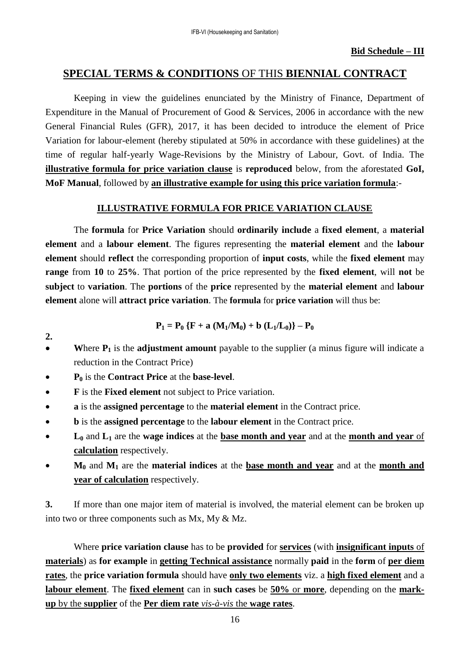# **SPECIAL TERMS & CONDITIONS** OF THIS **BIENNIAL CONTRACT**

Keeping in view the guidelines enunciated by the Ministry of Finance, Department of Expenditure in the Manual of Procurement of Good & Services, 2006 in accordance with the new General Financial Rules (GFR), 2017, it has been decided to introduce the element of Price Variation for labour-element (hereby stipulated at 50% in accordance with these guidelines) at the time of regular half-yearly Wage-Revisions by the Ministry of Labour, Govt. of India. The **illustrative formula for price variation clause** is **reproduced** below, from the aforestated **GoI, MoF Manual**, followed by **an illustrative example for using this price variation formula**:-

# **ILLUSTRATIVE FORMULA FOR PRICE VARIATION CLAUSE**

The **formula** for **Price Variation** should **ordinarily include** a **fixed element**, a **material element** and a **labour element**. The figures representing the **material element** and the **labour element** should **reflect** the corresponding proportion of **input costs**, while the **fixed element** may **range** from **10** to **25%**. That portion of the price represented by the **fixed element**, will **not** be **subject** to **variation**. The **portions** of the **price** represented by the **material element** and **labour element** alone will **attract price variation**. The **formula** for **price variation** will thus be:

$$
P_1 = P_0 \{F + a (M_1/M_0) + b (L_1/L_0)\} - P_0
$$

- **W**here **P<sup>1</sup>** is the **adjustment amount** payable to the supplier (a minus figure will indicate a reduction in the Contract Price)
- **P<sup>0</sup>** is the **Contract Price** at the **base-level**.

**2.**

- **F** is the **Fixed element** not subject to Price variation.
- **a** is the **assigned percentage** to the **material element** in the Contract price.
- **b** is the **assigned percentage** to the **labour element** in the Contract price.
- **L<sup>0</sup>** and **L<sup>1</sup>** are the **wage indices** at the **base month and year** and at the **month and year** of **calculation** respectively.
- **M<sup>0</sup>** and **M<sup>1</sup>** are the **material indices** at the **base month and year** and at the **month and year of calculation** respectively.

**3.** If more than one major item of material is involved, the material element can be broken up into two or three components such as Mx, My & Mz.

Where **price variation clause** has to be **provided** for **services** (with **insignificant inputs** of **materials**) as **for example** in **getting Technical assistance** normally **paid** in the **form** of **per diem rates**, the **price variation formula** should have **only two elements** viz. a **high fixed element** and a **labour element**. The **fixed element** can in **such cases** be **50%** or **more**, depending on the **markup** by the **supplier** of the **Per diem rate** *vis-à-vis* the **wage rates**.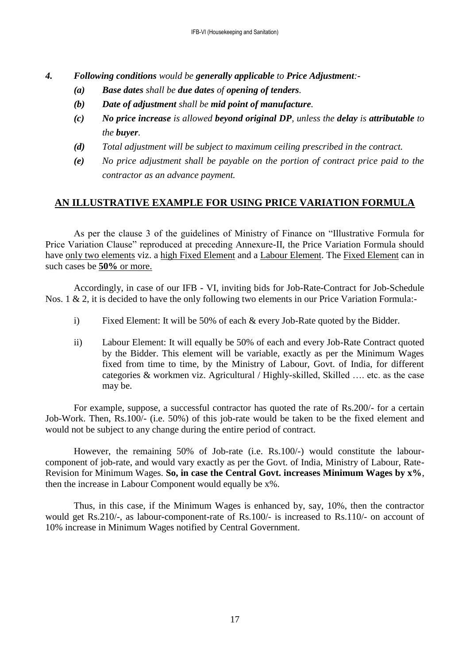- *4. Following conditions would be generally applicable to Price Adjustment:-*
	- *(a) Base dates shall be due dates of opening of tenders.*
	- *(b) Date of adjustment shall be mid point of manufacture.*
	- *(c) No price increase is allowed beyond original DP, unless the delay is attributable to the buyer.*
	- *(d) Total adjustment will be subject to maximum ceiling prescribed in the contract.*
	- *(e) No price adjustment shall be payable on the portion of contract price paid to the contractor as an advance payment.*

# **AN ILLUSTRATIVE EXAMPLE FOR USING PRICE VARIATION FORMULA**

As per the clause 3 of the guidelines of Ministry of Finance on "Illustrative Formula for Price Variation Clause" reproduced at preceding Annexure-II, the Price Variation Formula should have only two elements viz. a high Fixed Element and a Labour Element. The Fixed Element can in such cases be **50%** or more.

Accordingly, in case of our IFB - VI, inviting bids for Job-Rate-Contract for Job-Schedule Nos. 1 & 2, it is decided to have the only following two elements in our Price Variation Formula:-

- i) Fixed Element: It will be 50% of each & every Job-Rate quoted by the Bidder.
- ii) Labour Element: It will equally be 50% of each and every Job-Rate Contract quoted by the Bidder. This element will be variable, exactly as per the Minimum Wages fixed from time to time, by the Ministry of Labour, Govt. of India, for different categories & workmen viz. Agricultural / Highly-skilled, Skilled …. etc. as the case may be.

For example, suppose, a successful contractor has quoted the rate of Rs.200/- for a certain Job-Work. Then, Rs.100/- (i.e. 50%) of this job-rate would be taken to be the fixed element and would not be subject to any change during the entire period of contract.

However, the remaining 50% of Job-rate (i.e. Rs.100/-) would constitute the labourcomponent of job-rate, and would vary exactly as per the Govt. of India, Ministry of Labour, Rate-Revision for Minimum Wages. **So, in case the Central Govt. increases Minimum Wages by x%**, then the increase in Labour Component would equally be x%.

Thus, in this case, if the Minimum Wages is enhanced by, say, 10%, then the contractor would get Rs.210/-, as labour-component-rate of Rs.100/- is increased to Rs.110/- on account of 10% increase in Minimum Wages notified by Central Government.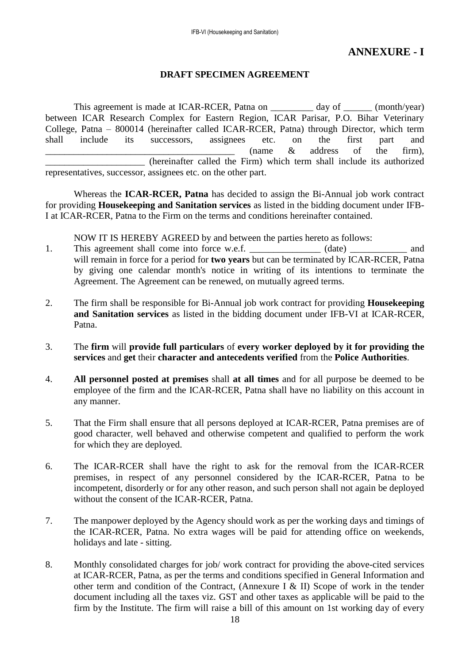# **ANNEXURE - I**

# **DRAFT SPECIMEN AGREEMENT**

This agreement is made at ICAR-RCER, Patna on day of (month/year) between ICAR Research Complex for Eastern Region, ICAR Parisar, P.O. Bihar Veterinary College, Patna – 800014 (hereinafter called ICAR-RCER, Patna) through Director, which term shall include its successors, assignees etc. on the first part and  $\frac{1}{\sqrt{2}}$  (name  $\&$  address of the firm), \_\_\_\_\_\_\_\_\_\_\_\_\_\_\_\_\_\_\_\_\_ (hereinafter called the Firm) which term shall include its authorized representatives, successor, assignees etc. on the other part.

Whereas the **ICAR-RCER, Patna** has decided to assign the Bi-Annual job work contract for providing **Housekeeping and Sanitation services** as listed in the bidding document under IFB-I at ICAR-RCER, Patna to the Firm on the terms and conditions hereinafter contained.

NOW IT IS HEREBY AGREED by and between the parties hereto as follows:

- 1. This agreement shall come into force w.e.f.  $(date)$  and will remain in force for a period for **two years** but can be terminated by ICAR-RCER, Patna by giving one calendar month's notice in writing of its intentions to terminate the Agreement. The Agreement can be renewed, on mutually agreed terms.
- 2. The firm shall be responsible for Bi-Annual job work contract for providing **Housekeeping and Sanitation services** as listed in the bidding document under IFB-VI at ICAR-RCER, Patna.
- 3. The **firm** will **provide full particulars** of **every worker deployed by it for providing the services** and **get** their **character and antecedents verified** from the **Police Authorities**.
- 4. **All personnel posted at premises** shall **at all times** and for all purpose be deemed to be employee of the firm and the ICAR-RCER, Patna shall have no liability on this account in any manner.
- 5. That the Firm shall ensure that all persons deployed at ICAR-RCER, Patna premises are of good character, well behaved and otherwise competent and qualified to perform the work for which they are deployed.
- 6. The ICAR-RCER shall have the right to ask for the removal from the ICAR-RCER premises, in respect of any personnel considered by the ICAR-RCER, Patna to be incompetent, disorderly or for any other reason, and such person shall not again be deployed without the consent of the ICAR-RCER, Patna.
- 7. The manpower deployed by the Agency should work as per the working days and timings of the ICAR-RCER, Patna. No extra wages will be paid for attending office on weekends, holidays and late - sitting.
- 8. Monthly consolidated charges for job/ work contract for providing the above-cited services at ICAR-RCER, Patna, as per the terms and conditions specified in General Information and other term and condition of the Contract, (Annexure I & II) Scope of work in the tender document including all the taxes viz. GST and other taxes as applicable will be paid to the firm by the Institute. The firm will raise a bill of this amount on 1st working day of every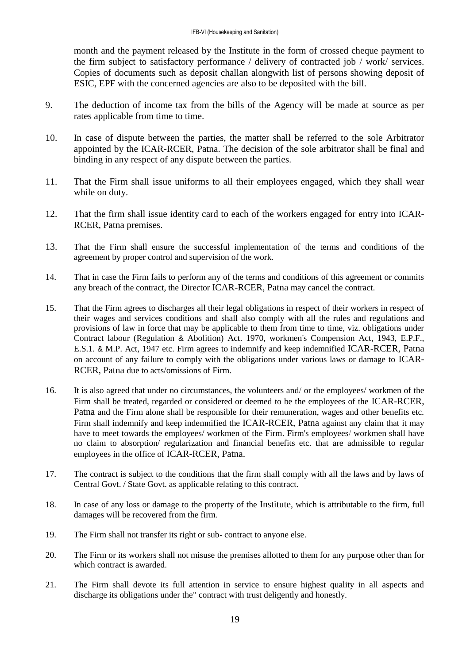month and the payment released by the Institute in the form of crossed cheque payment to the firm subject to satisfactory performance / delivery of contracted job / work/ services. Copies of documents such as deposit challan alongwith list of persons showing deposit of ESIC, EPF with the concerned agencies are also to be deposited with the bill.

- 9. The deduction of income tax from the bills of the Agency will be made at source as per rates applicable from time to time.
- 10. In case of dispute between the parties, the matter shall be referred to the sole Arbitrator appointed by the ICAR-RCER, Patna. The decision of the sole arbitrator shall be final and binding in any respect of any dispute between the parties.
- 11. That the Firm shall issue uniforms to all their employees engaged, which they shall wear while on duty.
- 12. That the firm shall issue identity card to each of the workers engaged for entry into ICAR-RCER, Patna premises.
- 13. That the Firm shall ensure the successful implementation of the terms and conditions of the agreement by proper control and supervision of the work.
- 14. That in case the Firm fails to perform any of the terms and conditions of this agreement or commits any breach of the contract, the Director ICAR-RCER, Patna may cancel the contract.
- 15. That the Firm agrees to discharges all their legal obligations in respect of their workers in respect of their wages and services conditions and shall also comply with all the rules and regulations and provisions of law in force that may be applicable to them from time to time, viz. obligations under Contract labour (Regulation & Abolition) Act. 1970, workmen's Compension Act, 1943, E.P.F., E.S.1. & M.P. Act, 1947 etc. Firm agrees to indemnify and keep indemnified ICAR-RCER, Patna on account of any failure to comply with the obligations under various laws or damage to ICAR-RCER, Patna due to acts/omissions of Firm.
- 16. It is also agreed that under no circumstances, the volunteers and/ or the employees/ workmen of the Firm shall be treated, regarded or considered or deemed to be the employees of the ICAR-RCER, Patna and the Firm alone shall be responsible for their remuneration, wages and other benefits etc. Firm shall indemnify and keep indemnified the ICAR-RCER, Patna against any claim that it may have to meet towards the employees/ workmen of the Firm. Firm's employees/ workmen shall have no claim to absorption/ regularization and financial benefits etc. that are admissible to regular employees in the office of ICAR-RCER, Patna.
- 17. The contract is subject to the conditions that the firm shall comply with all the laws and by laws of Central Govt. / State Govt. as applicable relating to this contract.
- 18. In case of any loss or damage to the property of the Institute, which is attributable to the firm, full damages will be recovered from the firm.
- 19. The Firm shall not transfer its right or sub- contract to anyone else.
- 20. The Firm or its workers shall not misuse the premises allotted to them for any purpose other than for which contract is awarded.
- 21. The Firm shall devote its full attention in service to ensure highest quality in all aspects and discharge its obligations under the" contract with trust deligently and honestly.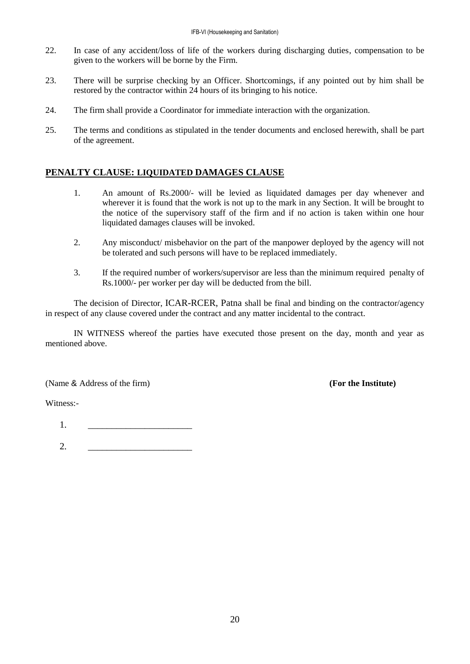- 22. In case of any accident/loss of life of the workers during discharging duties, compensation to be given to the workers will be borne by the Firm.
- 23. There will be surprise checking by an Officer. Shortcomings, if any pointed out by him shall be restored by the contractor within 24 hours of its bringing to his notice.
- 24. The firm shall provide a Coordinator for immediate interaction with the organization.
- 25. The terms and conditions as stipulated in the tender documents and enclosed herewith, shall be part of the agreement.

## **PENALTY CLAUSE: LIQUIDATED DAMAGES CLAUSE**

- 1. An amount of Rs.2000/- will be levied as liquidated damages per day whenever and wherever it is found that the work is not up to the mark in any Section. It will be brought to the notice of the supervisory staff of the firm and if no action is taken within one hour liquidated damages clauses will be invoked.
- 2. Any misconduct/ misbehavior on the part of the manpower deployed by the agency will not be tolerated and such persons will have to be replaced immediately.
- 3. If the required number of workers/supervisor are less than the minimum required penalty of Rs.1000/- per worker per day will be deducted from the bill.

The decision of Director, ICAR-RCER, Patna shall be final and binding on the contractor/agency in respect of any clause covered under the contract and any matter incidental to the contract.

IN WITNESS whereof the parties have executed those present on the day, month and year as mentioned above.

(Name & Address of the firm) **(For the Institute)**

Witness:-

1. \_\_\_\_\_\_\_\_\_\_\_\_\_\_\_\_\_\_\_\_\_\_

2. \_\_\_\_\_\_\_\_\_\_\_\_\_\_\_\_\_\_\_\_\_\_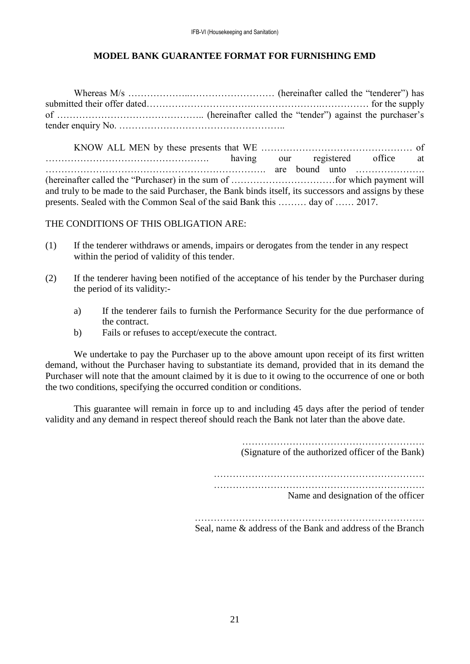# **MODEL BANK GUARANTEE FORMAT FOR FURNISHING EMD**

Whereas M/s ………………..……………………… (hereinafter called the "tenderer") has submitted their offer dated…………………………….………………….…………… for the supply of ……………………………………….. (hereinafter called the "tender") against the purchaser's tender enquiry No. ……………………………………………..

KNOW ALL MEN by these presents that WE ………………………………………… of ……………………………………………. having our registered office at ……………………………………………………………. are bound unto …………………. (hereinafter called the "Purchaser) in the sum of ……………………………for which payment will and truly to be made to the said Purchaser, the Bank binds itself, its successors and assigns by these presents. Sealed with the Common Seal of the said Bank this ……… day of …… 2017.

THE CONDITIONS OF THIS OBLIGATION ARE:

- (1) If the tenderer withdraws or amends, impairs or derogates from the tender in any respect within the period of validity of this tender.
- (2) If the tenderer having been notified of the acceptance of his tender by the Purchaser during the period of its validity:
	- a) If the tenderer fails to furnish the Performance Security for the due performance of the contract.
	- b) Fails or refuses to accept/execute the contract.

We undertake to pay the Purchaser up to the above amount upon receipt of its first written demand, without the Purchaser having to substantiate its demand, provided that in its demand the Purchaser will note that the amount claimed by it is due to it owing to the occurrence of one or both the two conditions, specifying the occurred condition or conditions.

This guarantee will remain in force up to and including 45 days after the period of tender validity and any demand in respect thereof should reach the Bank not later than the above date.

> (Signature of the authorized officer of the Bank) …………………………………………………………. …………………………………………………………. Name and designation of the officer

………………………………………………………………. Seal, name & address of the Bank and address of the Branch